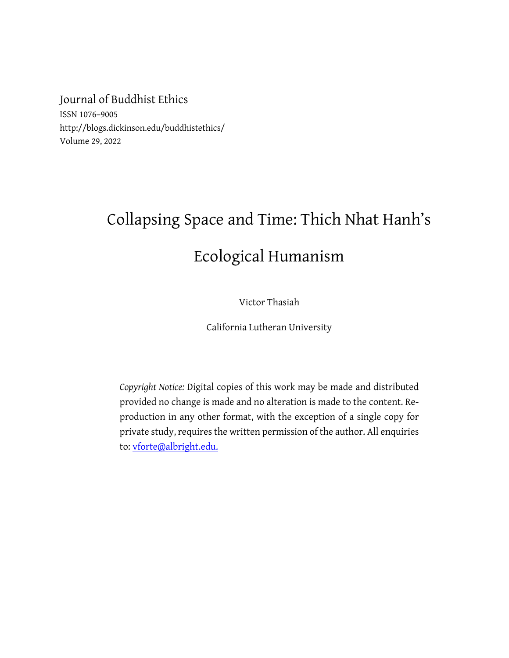Journal of Buddhist Ethics

ISSN 1076–9005 http://blogs.dickinson.edu/buddhistethics/ Volume 29, 2022

## Collapsing Space and Time: Thich Nhat Hanh's Ecological Humanism

Victor Thasiah

California Lutheran University

*Copyright Notice:* Digital copies of this work may be made and distributed provided no change is made and no alteration is made to the content. Reproduction in any other format, with the exception of a single copy for private study, requires the written permission of the author. All enquiries to: vforte@albright.edu.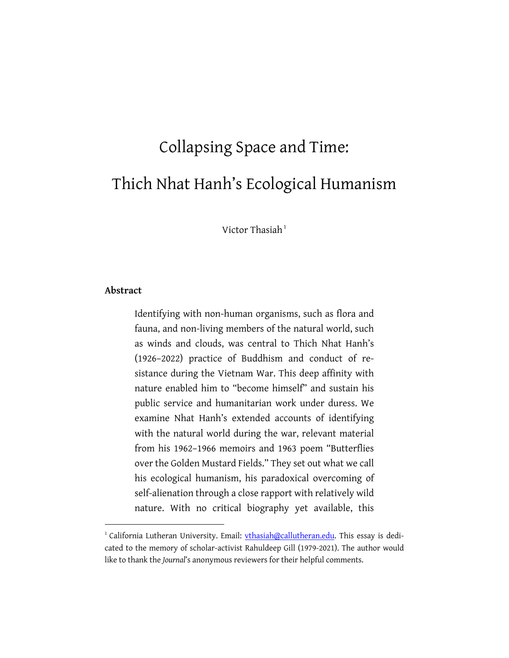# Collapsing Space and Time: Thich Nhat Hanh's Ecological Humanism

Victor Thasiah $1$ 

#### **Abstract**

Identifying with non-human organisms, such as flora and fauna, and non-living members of the natural world, such as winds and clouds, was central to Thich Nhat Hanh's (1926–2022) practice of Buddhism and conduct of resistance during the Vietnam War. This deep affinity with nature enabled him to "become himself" and sustain his public service and humanitarian work under duress. We examine Nhat Hanh's extended accounts of identifying with the natural world during the war, relevant material from his 1962–1966 memoirs and 1963 poem "Butterflies over the Golden Mustard Fields." They set out what we call his ecological humanism, his paradoxical overcoming of self-alienation through a close rapport with relatively wild nature. With no critical biography yet available, this

<sup>&</sup>lt;sup>1</sup> California Lutheran University. Email: vthasiah@callutheran.edu. This essay is dedicated to the memory of scholar-activist Rahuldeep Gill (1979-2021). The author would like to thank the *Journal*'s anonymous reviewers for their helpful comments.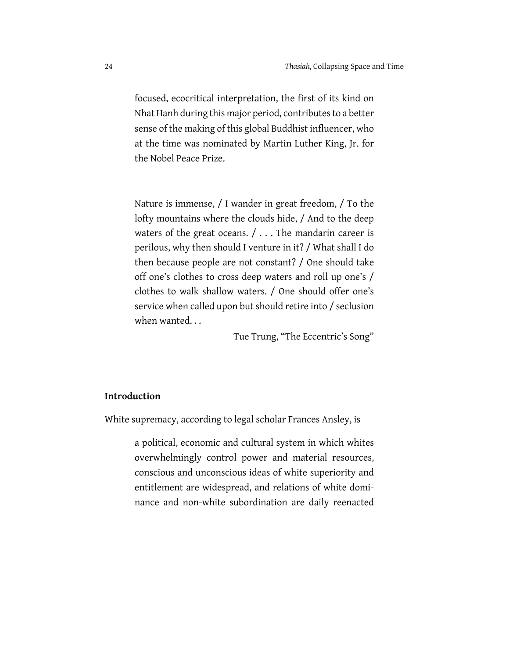focused, ecocritical interpretation, the first of its kind on Nhat Hanh during this major period, contributes to a better sense of the making of this global Buddhist influencer, who at the time was nominated by Martin Luther King, Jr. for the Nobel Peace Prize.

Nature is immense, / I wander in great freedom, / To the lofty mountains where the clouds hide, / And to the deep waters of the great oceans.  $/ \ldots$  The mandarin career is perilous, why then should I venture in it? / What shall I do then because people are not constant? / One should take off one's clothes to cross deep waters and roll up one's / clothes to walk shallow waters. / One should offer one's service when called upon but should retire into / seclusion when wanted. . .

Tue Trung, "The Eccentric's Song"

#### **Introduction**

White supremacy, according to legal scholar Frances Ansley, is

a political, economic and cultural system in which whites overwhelmingly control power and material resources, conscious and unconscious ideas of white superiority and entitlement are widespread, and relations of white dominance and non-white subordination are daily reenacted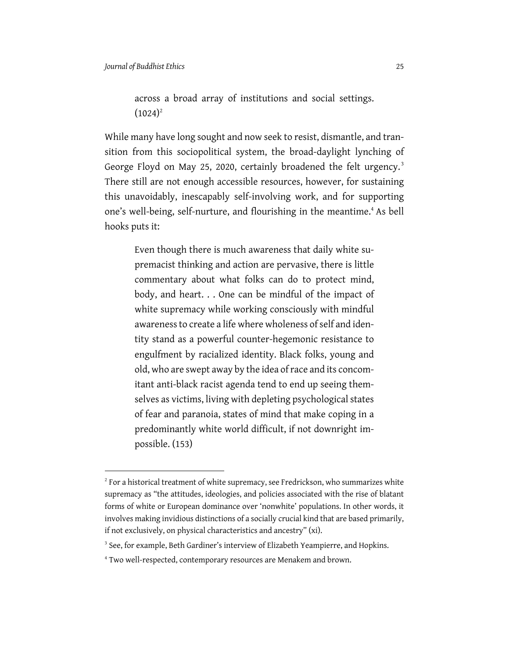across a broad array of institutions and social settings.  $(1024)^2$ 

While many have long sought and now seek to resist, dismantle, and transition from this sociopolitical system, the broad-daylight lynching of George Floyd on May 25, 2020, certainly broadened the felt urgency.<sup>3</sup> There still are not enough accessible resources, however, for sustaining this unavoidably, inescapably self-involving work, and for supporting one's well-being, self-nurture, and flourishing in the meantime.<sup>4</sup> As bell hooks puts it:

Even though there is much awareness that daily white supremacist thinking and action are pervasive, there is little commentary about what folks can do to protect mind, body, and heart. . . One can be mindful of the impact of white supremacy while working consciously with mindful awareness to create a life where wholeness of self and identity stand as a powerful counter-hegemonic resistance to engulfment by racialized identity. Black folks, young and old, who are swept away by the idea of race and its concomitant anti-black racist agenda tend to end up seeing themselves as victims, living with depleting psychological states of fear and paranoia, states of mind that make coping in a predominantly white world difficult, if not downright impossible. (153)

 $2^{2}$  For a historical treatment of white supremacy, see Fredrickson, who summarizes white supremacy as "the attitudes, ideologies, and policies associated with the rise of blatant forms of white or European dominance over 'nonwhite' populations. In other words, it involves making invidious distinctions of a socially crucial kind that are based primarily, if not exclusively, on physical characteristics and ancestry" (xi).

<sup>&</sup>lt;sup>3</sup> See, for example, Beth Gardiner's interview of Elizabeth Yeampierre, and Hopkins.

<sup>4</sup> Two well-respected, contemporary resources are Menakem and brown.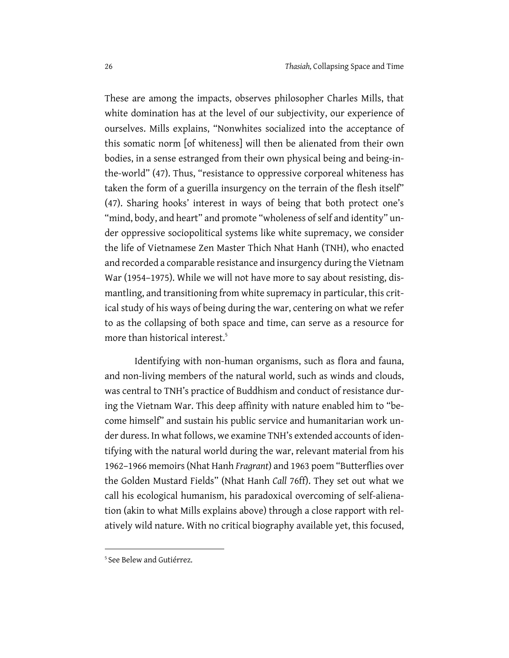These are among the impacts, observes philosopher Charles Mills, that white domination has at the level of our subjectivity, our experience of ourselves. Mills explains, "Nonwhites socialized into the acceptance of this somatic norm [of whiteness] will then be alienated from their own bodies, in a sense estranged from their own physical being and being-inthe-world" (47). Thus, "resistance to oppressive corporeal whiteness has taken the form of a guerilla insurgency on the terrain of the flesh itself" (47). Sharing hooks' interest in ways of being that both protect one's "mind, body, and heart" and promote "wholeness of self and identity" under oppressive sociopolitical systems like white supremacy, we consider the life of Vietnamese Zen Master Thich Nhat Hanh (TNH), who enacted and recorded a comparable resistance and insurgency during the Vietnam War (1954–1975). While we will not have more to say about resisting, dismantling, and transitioning from white supremacy in particular, this critical study of his ways of being during the war, centering on what we refer to as the collapsing of both space and time, can serve as a resource for more than historical interest.<sup>5</sup>

Identifying with non-human organisms, such as flora and fauna, and non-living members of the natural world, such as winds and clouds, was central to TNH's practice of Buddhism and conduct of resistance during the Vietnam War. This deep affinity with nature enabled him to "become himself" and sustain his public service and humanitarian work under duress. In what follows, we examine TNH's extended accounts of identifying with the natural world during the war, relevant material from his 1962–1966 memoirs (Nhat Hanh *Fragrant*) and 1963 poem "Butterflies over the Golden Mustard Fields" (Nhat Hanh *Call* 76ff). They set out what we call his ecological humanism, his paradoxical overcoming of self-alienation (akin to what Mills explains above) through a close rapport with relatively wild nature. With no critical biography available yet, this focused,

<sup>5</sup> See Belew and Gutiérrez.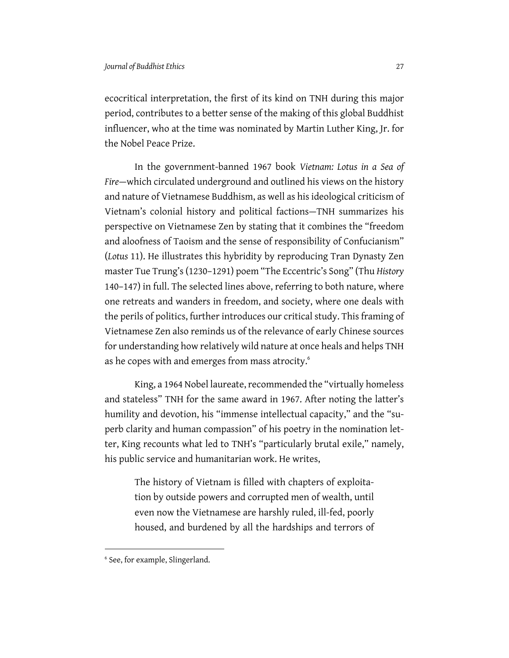ecocritical interpretation, the first of its kind on TNH during this major period, contributes to a better sense of the making of this global Buddhist influencer, who at the time was nominated by Martin Luther King, Jr. for the Nobel Peace Prize.

In the government-banned 1967 book *Vietnam: Lotus in a Sea of Fire*—which circulated underground and outlined his views on the history and nature of Vietnamese Buddhism, as well as his ideological criticism of Vietnam's colonial history and political factions—TNH summarizes his perspective on Vietnamese Zen by stating that it combines the "freedom and aloofness of Taoism and the sense of responsibility of Confucianism" (*Lotus* 11). He illustrates this hybridity by reproducing Tran Dynasty Zen master Tue Trung's (1230–1291) poem "The Eccentric's Song" (Thu *History*  140–147) in full. The selected lines above, referring to both nature, where one retreats and wanders in freedom, and society, where one deals with the perils of politics, further introduces our critical study. This framing of Vietnamese Zen also reminds us of the relevance of early Chinese sources for understanding how relatively wild nature at once heals and helps TNH as he copes with and emerges from mass atrocity.<sup>6</sup>

King, a 1964 Nobel laureate, recommended the "virtually homeless and stateless" TNH for the same award in 1967. After noting the latter's humility and devotion, his "immense intellectual capacity," and the "superb clarity and human compassion" of his poetry in the nomination letter, King recounts what led to TNH's "particularly brutal exile," namely, his public service and humanitarian work. He writes,

The history of Vietnam is filled with chapters of exploitation by outside powers and corrupted men of wealth, until even now the Vietnamese are harshly ruled, ill-fed, poorly housed, and burdened by all the hardships and terrors of

<sup>6</sup> See, for example, Slingerland.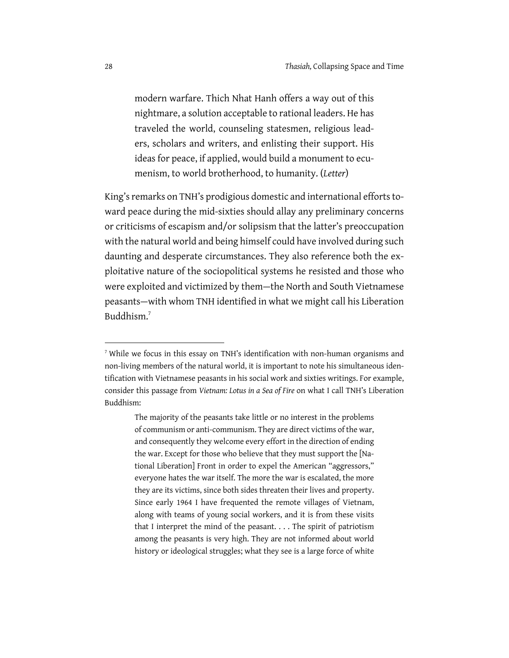modern warfare. Thich Nhat Hanh offers a way out of this nightmare, a solution acceptable to rational leaders. He has traveled the world, counseling statesmen, religious leaders, scholars and writers, and enlisting their support. His ideas for peace, if applied, would build a monument to ecumenism, to world brotherhood, to humanity. (*Letter*)

King's remarks on TNH's prodigious domestic and international efforts toward peace during the mid-sixties should allay any preliminary concerns or criticisms of escapism and/or solipsism that the latter's preoccupation with the natural world and being himself could have involved during such daunting and desperate circumstances. They also reference both the exploitative nature of the sociopolitical systems he resisted and those who were exploited and victimized by them—the North and South Vietnamese peasants—with whom TNH identified in what we might call his Liberation Buddhism.7

 $<sup>7</sup>$  While we focus in this essay on TNH's identification with non-human organisms and</sup> non-living members of the natural world, it is important to note his simultaneous identification with Vietnamese peasants in his social work and sixties writings. For example, consider this passage from *Vietnam: Lotus in a Sea of Fire* on what I call TNH's Liberation Buddhism:

The majority of the peasants take little or no interest in the problems of communism or anti-communism. They are direct victims of the war, and consequently they welcome every effort in the direction of ending the war. Except for those who believe that they must support the [National Liberation] Front in order to expel the American "aggressors," everyone hates the war itself. The more the war is escalated, the more they are its victims, since both sides threaten their lives and property. Since early 1964 I have frequented the remote villages of Vietnam, along with teams of young social workers, and it is from these visits that I interpret the mind of the peasant. . . . The spirit of patriotism among the peasants is very high. They are not informed about world history or ideological struggles; what they see is a large force of white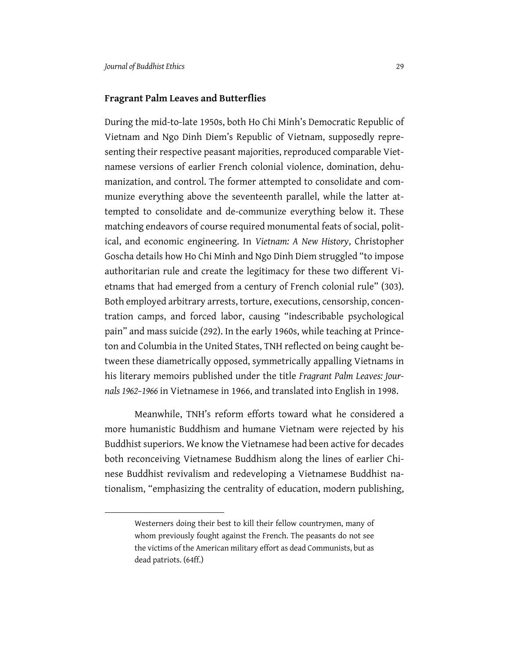#### **Fragrant Palm Leaves and Butterflies**

During the mid-to-late 1950s, both Ho Chi Minh's Democratic Republic of Vietnam and Ngo Dinh Diem's Republic of Vietnam, supposedly representing their respective peasant majorities, reproduced comparable Vietnamese versions of earlier French colonial violence, domination, dehumanization, and control. The former attempted to consolidate and communize everything above the seventeenth parallel, while the latter attempted to consolidate and de-communize everything below it. These matching endeavors of course required monumental feats of social, political, and economic engineering. In *Vietnam: A New History*, Christopher Goscha details how Ho Chi Minh and Ngo Dinh Diem struggled "to impose authoritarian rule and create the legitimacy for these two different Vietnams that had emerged from a century of French colonial rule" (303). Both employed arbitrary arrests, torture, executions, censorship, concentration camps, and forced labor, causing "indescribable psychological pain" and mass suicide (292). In the early 1960s, while teaching at Princeton and Columbia in the United States, TNH reflected on being caught between these diametrically opposed, symmetrically appalling Vietnams in his literary memoirs published under the title *Fragrant Palm Leaves: Journals 1962–1966* in Vietnamese in 1966, and translated into English in 1998.

Meanwhile, TNH's reform efforts toward what he considered a more humanistic Buddhism and humane Vietnam were rejected by his Buddhist superiors. We know the Vietnamese had been active for decades both reconceiving Vietnamese Buddhism along the lines of earlier Chinese Buddhist revivalism and redeveloping a Vietnamese Buddhist nationalism, "emphasizing the centrality of education, modern publishing,

Westerners doing their best to kill their fellow countrymen, many of whom previously fought against the French. The peasants do not see the victims of the American military effort as dead Communists, but as dead patriots. (64ff.)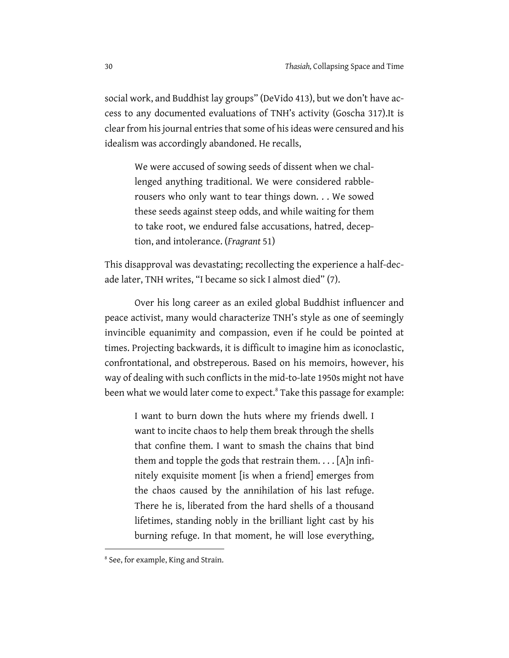social work, and Buddhist lay groups" (DeVido 413), but we don't have access to any documented evaluations of TNH's activity (Goscha 317).It is clear from his journal entries that some of his ideas were censured and his idealism was accordingly abandoned. He recalls,

We were accused of sowing seeds of dissent when we challenged anything traditional. We were considered rabblerousers who only want to tear things down. . . We sowed these seeds against steep odds, and while waiting for them to take root, we endured false accusations, hatred, deception, and intolerance. (*Fragrant* 51)

This disapproval was devastating; recollecting the experience a half-decade later, TNH writes, "I became so sick I almost died" (7).

Over his long career as an exiled global Buddhist influencer and peace activist, many would characterize TNH's style as one of seemingly invincible equanimity and compassion, even if he could be pointed at times. Projecting backwards, it is difficult to imagine him as iconoclastic, confrontational, and obstreperous. Based on his memoirs, however, his way of dealing with such conflicts in the mid-to-late 1950s might not have been what we would later come to expect.<sup>8</sup> Take this passage for example:

I want to burn down the huts where my friends dwell. I want to incite chaos to help them break through the shells that confine them. I want to smash the chains that bind them and topple the gods that restrain them....  $[A]$ n infinitely exquisite moment [is when a friend] emerges from the chaos caused by the annihilation of his last refuge. There he is, liberated from the hard shells of a thousand lifetimes, standing nobly in the brilliant light cast by his burning refuge. In that moment, he will lose everything,

<sup>8</sup> See, for example, King and Strain.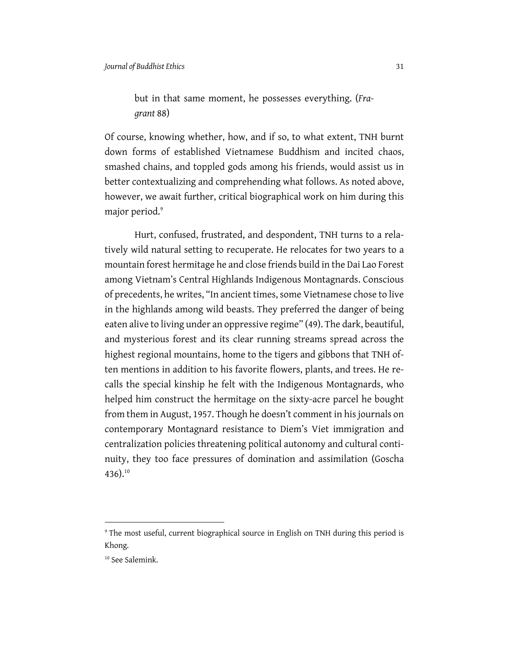## but in that same moment, he possesses everything. (*Fragrant* 88)

Of course, knowing whether, how, and if so, to what extent, TNH burnt down forms of established Vietnamese Buddhism and incited chaos, smashed chains, and toppled gods among his friends, would assist us in better contextualizing and comprehending what follows. As noted above, however, we await further, critical biographical work on him during this major period.<sup>9</sup>

Hurt, confused, frustrated, and despondent, TNH turns to a relatively wild natural setting to recuperate. He relocates for two years to a mountain forest hermitage he and close friends build in the Dai Lao Forest among Vietnam's Central Highlands Indigenous Montagnards. Conscious of precedents, he writes, "In ancient times, some Vietnamese chose to live in the highlands among wild beasts. They preferred the danger of being eaten alive to living under an oppressive regime" (49). The dark, beautiful, and mysterious forest and its clear running streams spread across the highest regional mountains, home to the tigers and gibbons that TNH often mentions in addition to his favorite flowers, plants, and trees. He recalls the special kinship he felt with the Indigenous Montagnards, who helped him construct the hermitage on the sixty-acre parcel he bought from them in August, 1957. Though he doesn't comment in his journals on contemporary Montagnard resistance to Diem's Viet immigration and centralization policies threatening political autonomy and cultural continuity, they too face pressures of domination and assimilation (Goscha 436). $^{10}$ 

<sup>&</sup>lt;sup>9</sup> The most useful, current biographical source in English on TNH during this period is Khong.

<sup>10</sup> See Salemink.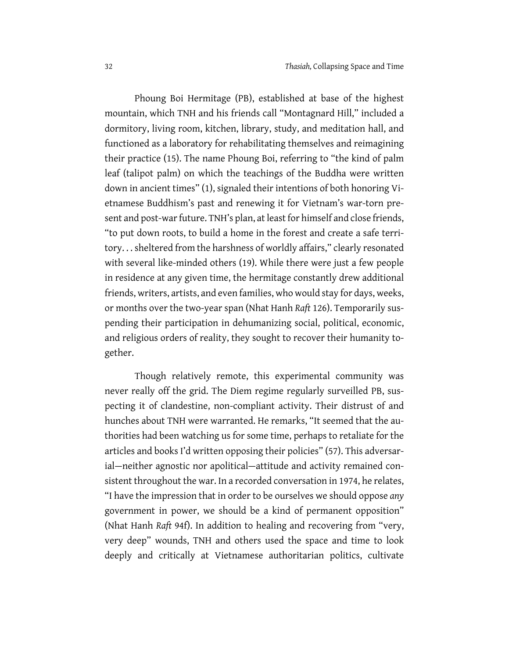Phoung Boi Hermitage (PB), established at base of the highest mountain, which TNH and his friends call "Montagnard Hill," included a dormitory, living room, kitchen, library, study, and meditation hall, and functioned as a laboratory for rehabilitating themselves and reimagining their practice (15). The name Phoung Boi, referring to "the kind of palm leaf (talipot palm) on which the teachings of the Buddha were written down in ancient times" (1), signaled their intentions of both honoring Vietnamese Buddhism's past and renewing it for Vietnam's war-torn present and post-war future. TNH's plan, at least for himself and close friends, "to put down roots, to build a home in the forest and create a safe territory. . . sheltered from the harshness of worldly affairs," clearly resonated with several like-minded others (19). While there were just a few people in residence at any given time, the hermitage constantly drew additional friends, writers, artists, and even families, who would stay for days, weeks, or months over the two-year span (Nhat Hanh *Raft* 126). Temporarily suspending their participation in dehumanizing social, political, economic, and religious orders of reality, they sought to recover their humanity together.

Though relatively remote, this experimental community was never really off the grid. The Diem regime regularly surveilled PB, suspecting it of clandestine, non-compliant activity. Their distrust of and hunches about TNH were warranted. He remarks, "It seemed that the authorities had been watching us for some time, perhaps to retaliate for the articles and books I'd written opposing their policies" (57). This adversarial—neither agnostic nor apolitical—attitude and activity remained consistent throughout the war. In a recorded conversation in 1974, he relates, "I have the impression that in order to be ourselves we should oppose *any* government in power, we should be a kind of permanent opposition" (Nhat Hanh *Raft* 94f). In addition to healing and recovering from "very, very deep" wounds, TNH and others used the space and time to look deeply and critically at Vietnamese authoritarian politics, cultivate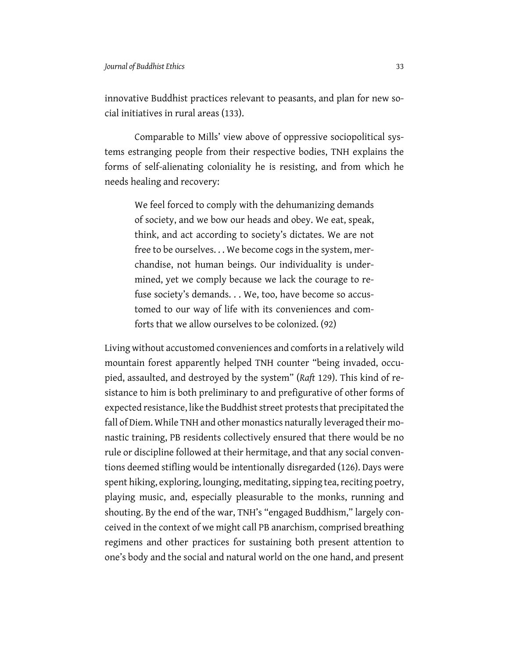innovative Buddhist practices relevant to peasants, and plan for new social initiatives in rural areas (133).

Comparable to Mills' view above of oppressive sociopolitical systems estranging people from their respective bodies, TNH explains the forms of self-alienating coloniality he is resisting, and from which he needs healing and recovery:

We feel forced to comply with the dehumanizing demands of society, and we bow our heads and obey. We eat, speak, think, and act according to society's dictates. We are not free to be ourselves. . . We become cogs in the system, merchandise, not human beings. Our individuality is undermined, yet we comply because we lack the courage to refuse society's demands. . . We, too, have become so accustomed to our way of life with its conveniences and comforts that we allow ourselves to be colonized. (92)

Living without accustomed conveniences and comforts in a relatively wild mountain forest apparently helped TNH counter "being invaded, occupied, assaulted, and destroyed by the system" (*Raft* 129). This kind of resistance to him is both preliminary to and prefigurative of other forms of expected resistance, like the Buddhist street protests that precipitated the fall of Diem. While TNH and other monastics naturally leveraged their monastic training, PB residents collectively ensured that there would be no rule or discipline followed at their hermitage, and that any social conventions deemed stifling would be intentionally disregarded (126). Days were spent hiking, exploring, lounging, meditating, sipping tea, reciting poetry, playing music, and, especially pleasurable to the monks, running and shouting. By the end of the war, TNH's "engaged Buddhism," largely conceived in the context of we might call PB anarchism, comprised breathing regimens and other practices for sustaining both present attention to one's body and the social and natural world on the one hand, and present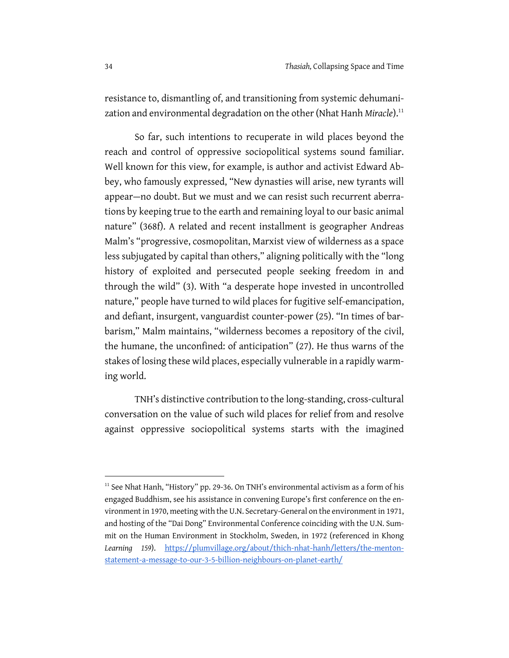resistance to, dismantling of, and transitioning from systemic dehumanization and environmental degradation on the other (Nhat Hanh Miracle).<sup>11</sup>

So far, such intentions to recuperate in wild places beyond the reach and control of oppressive sociopolitical systems sound familiar. Well known for this view, for example, is author and activist Edward Abbey, who famously expressed, "New dynasties will arise, new tyrants will appear—no doubt. But we must and we can resist such recurrent aberrations by keeping true to the earth and remaining loyal to our basic animal nature" (368f). A related and recent installment is geographer Andreas Malm's "progressive, cosmopolitan, Marxist view of wilderness as a space less subjugated by capital than others," aligning politically with the "long history of exploited and persecuted people seeking freedom in and through the wild" (3). With "a desperate hope invested in uncontrolled nature," people have turned to wild places for fugitive self-emancipation, and defiant, insurgent, vanguardist counter-power (25). "In times of barbarism," Malm maintains, "wilderness becomes a repository of the civil, the humane, the unconfined: of anticipation" (27). He thus warns of the stakes of losing these wild places, especially vulnerable in a rapidly warming world.

TNH's distinctive contribution to the long-standing, cross-cultural conversation on the value of such wild places for relief from and resolve against oppressive sociopolitical systems starts with the imagined

<sup>&</sup>lt;sup>11</sup> See Nhat Hanh, "History" pp. 29-36. On TNH's environmental activism as a form of his engaged Buddhism, see his assistance in convening Europe's first conference on the environment in 1970, meeting with the U.N. Secretary-General on the environment in 1971, and hosting of the "Dai Dong" Environmental Conference coinciding with the U.N. Summit on the Human Environment in Stockholm, Sweden, in 1972 (referenced in Khong *Learning 159*). https://plumvillage.org/about/thich-nhat-hanh/letters/the-mentonstatement-a-message-to-our-3-5-billion-neighbours-on-planet-earth/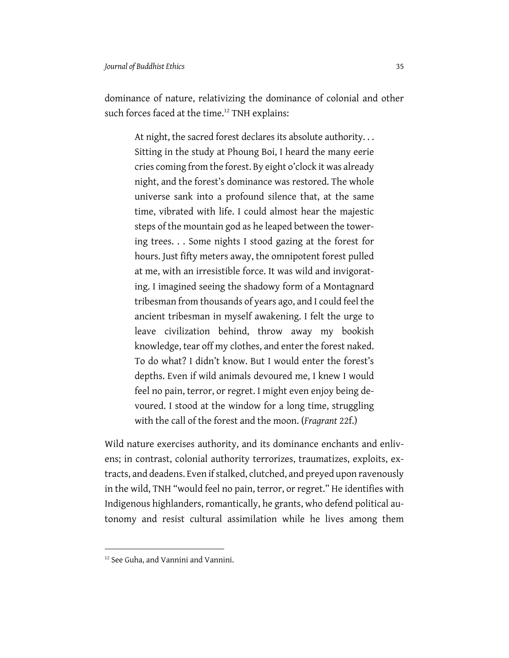dominance of nature, relativizing the dominance of colonial and other such forces faced at the time.<sup>12</sup> TNH explains:

At night, the sacred forest declares its absolute authority. . . Sitting in the study at Phoung Boi, I heard the many eerie cries coming from the forest. By eight o'clock it was already night, and the forest's dominance was restored. The whole universe sank into a profound silence that, at the same time, vibrated with life. I could almost hear the majestic steps of the mountain god as he leaped between the towering trees. . . Some nights I stood gazing at the forest for hours. Just fifty meters away, the omnipotent forest pulled at me, with an irresistible force. It was wild and invigorating. I imagined seeing the shadowy form of a Montagnard tribesman from thousands of years ago, and I could feel the ancient tribesman in myself awakening. I felt the urge to leave civilization behind, throw away my bookish knowledge, tear off my clothes, and enter the forest naked. To do what? I didn't know. But I would enter the forest's depths. Even if wild animals devoured me, I knew I would feel no pain, terror, or regret. I might even enjoy being devoured. I stood at the window for a long time, struggling with the call of the forest and the moon. (*Fragrant* 22f.)

Wild nature exercises authority, and its dominance enchants and enlivens; in contrast, colonial authority terrorizes, traumatizes, exploits, extracts, and deadens. Even if stalked, clutched, and preyed upon ravenously in the wild, TNH "would feel no pain, terror, or regret." He identifies with Indigenous highlanders, romantically, he grants, who defend political autonomy and resist cultural assimilation while he lives among them

<sup>&</sup>lt;sup>12</sup> See Guha, and Vannini and Vannini.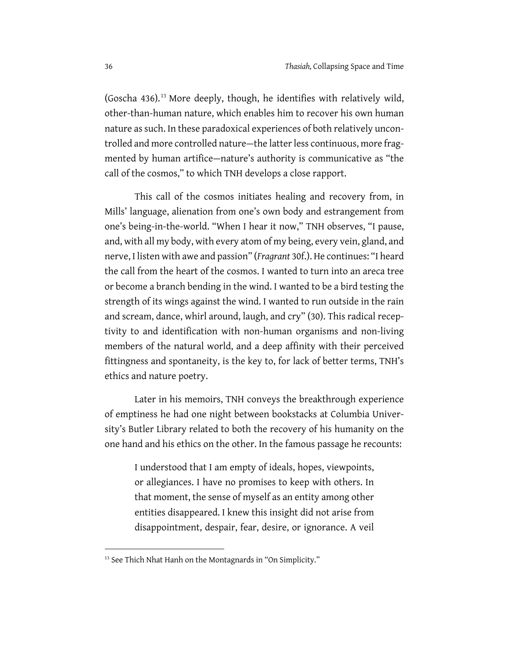(Goscha 436).<sup>13</sup> More deeply, though, he identifies with relatively wild, other-than-human nature, which enables him to recover his own human nature as such. In these paradoxical experiences of both relatively uncontrolled and more controlled nature—the latter less continuous, more fragmented by human artifice—nature's authority is communicative as "the call of the cosmos," to which TNH develops a close rapport.

This call of the cosmos initiates healing and recovery from, in Mills' language, alienation from one's own body and estrangement from one's being-in-the-world. "When I hear it now," TNH observes, "I pause, and, with all my body, with every atom of my being, every vein, gland, and nerve, I listen with awe and passion" (*Fragrant* 30f.). He continues: "I heard the call from the heart of the cosmos. I wanted to turn into an areca tree or become a branch bending in the wind. I wanted to be a bird testing the strength of its wings against the wind. I wanted to run outside in the rain and scream, dance, whirl around, laugh, and cry" (30). This radical receptivity to and identification with non-human organisms and non-living members of the natural world, and a deep affinity with their perceived fittingness and spontaneity, is the key to, for lack of better terms, TNH's ethics and nature poetry.

Later in his memoirs, TNH conveys the breakthrough experience of emptiness he had one night between bookstacks at Columbia University's Butler Library related to both the recovery of his humanity on the one hand and his ethics on the other. In the famous passage he recounts:

I understood that I am empty of ideals, hopes, viewpoints, or allegiances. I have no promises to keep with others. In that moment, the sense of myself as an entity among other entities disappeared. I knew this insight did not arise from disappointment, despair, fear, desire, or ignorance. A veil

<sup>&</sup>lt;sup>13</sup> See Thich Nhat Hanh on the Montagnards in "On Simplicity."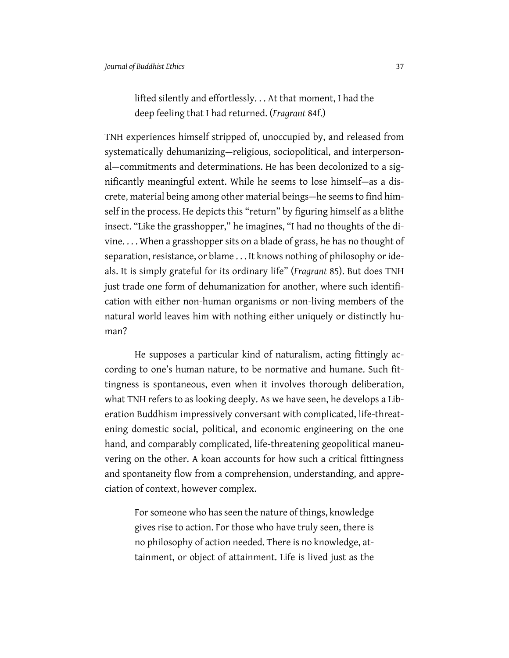## lifted silently and effortlessly. . . At that moment, I had the deep feeling that I had returned. (*Fragrant* 84f.)

TNH experiences himself stripped of, unoccupied by, and released from systematically dehumanizing—religious, sociopolitical, and interpersonal—commitments and determinations. He has been decolonized to a significantly meaningful extent. While he seems to lose himself—as a discrete, material being among other material beings—he seems to find himself in the process. He depicts this "return" by figuring himself as a blithe insect. "Like the grasshopper," he imagines, "I had no thoughts of the divine. . . . When a grasshopper sits on a blade of grass, he has no thought of separation, resistance, or blame . . . It knows nothing of philosophy or ideals. It is simply grateful for its ordinary life" (*Fragrant* 85). But does TNH just trade one form of dehumanization for another, where such identification with either non-human organisms or non-living members of the natural world leaves him with nothing either uniquely or distinctly human?

He supposes a particular kind of naturalism, acting fittingly according to one's human nature, to be normative and humane. Such fittingness is spontaneous, even when it involves thorough deliberation, what TNH refers to as looking deeply. As we have seen, he develops a Liberation Buddhism impressively conversant with complicated, life-threatening domestic social, political, and economic engineering on the one hand, and comparably complicated, life-threatening geopolitical maneuvering on the other. A koan accounts for how such a critical fittingness and spontaneity flow from a comprehension, understanding, and appreciation of context, however complex.

For someone who has seen the nature of things, knowledge gives rise to action. For those who have truly seen, there is no philosophy of action needed. There is no knowledge, attainment, or object of attainment. Life is lived just as the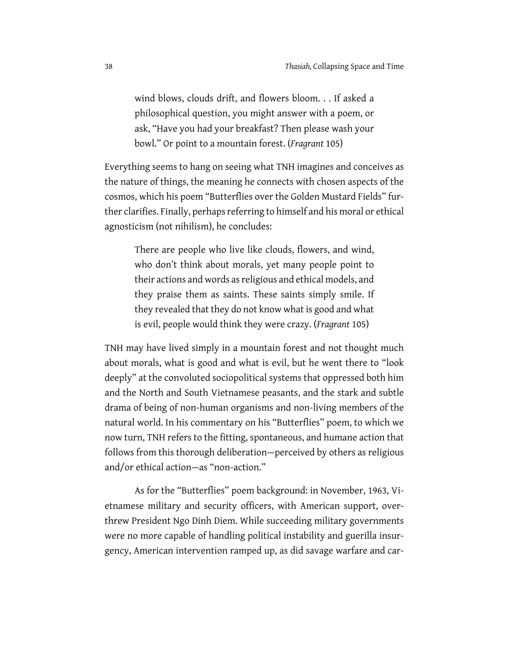wind blows, clouds drift, and flowers bloom. . . If asked a philosophical question, you might answer with a poem, or ask, "Have you had your breakfast? Then please wash your bowl." Or point to a mountain forest. (*Fragrant* 105)

Everything seems to hang on seeing what TNH imagines and conceives as the nature of things, the meaning he connects with chosen aspects of the cosmos, which his poem "Butterflies over the Golden Mustard Fields" further clarifies. Finally, perhaps referring to himself and his moral or ethical agnosticism (not nihilism), he concludes:

There are people who live like clouds, flowers, and wind, who don't think about morals, yet many people point to their actions and words as religious and ethical models, and they praise them as saints. These saints simply smile. If they revealed that they do not know what is good and what is evil, people would think they were crazy. (*Fragrant* 105)

TNH may have lived simply in a mountain forest and not thought much about morals, what is good and what is evil, but he went there to "look deeply" at the convoluted sociopolitical systems that oppressed both him and the North and South Vietnamese peasants, and the stark and subtle drama of being of non-human organisms and non-living members of the natural world. In his commentary on his "Butterflies" poem, to which we now turn, TNH refers to the fitting, spontaneous, and humane action that follows from this thorough deliberation—perceived by others as religious and/or ethical action—as "non-action."

As for the "Butterflies" poem background: in November, 1963, Vietnamese military and security officers, with American support, overthrew President Ngo Dinh Diem. While succeeding military governments were no more capable of handling political instability and guerilla insurgency, American intervention ramped up, as did savage warfare and car-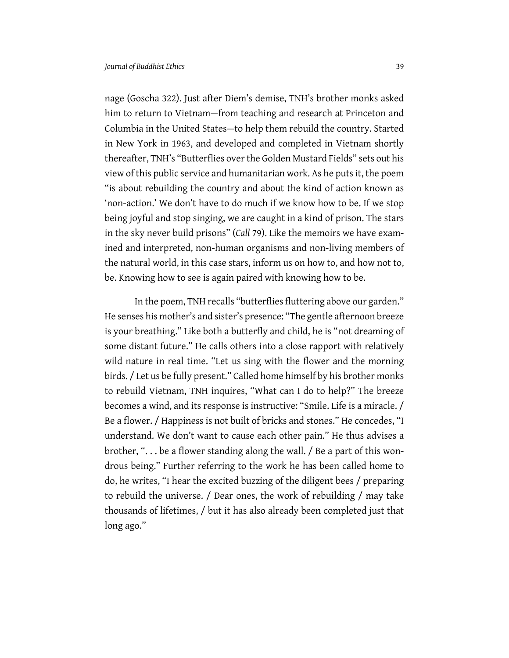nage (Goscha 322). Just after Diem's demise, TNH's brother monks asked him to return to Vietnam—from teaching and research at Princeton and Columbia in the United States—to help them rebuild the country. Started in New York in 1963, and developed and completed in Vietnam shortly thereafter, TNH's "Butterflies over the Golden Mustard Fields" sets out his view of this public service and humanitarian work. As he puts it, the poem "is about rebuilding the country and about the kind of action known as 'non-action.' We don't have to do much if we know how to be. If we stop being joyful and stop singing, we are caught in a kind of prison. The stars in the sky never build prisons" (*Call* 79). Like the memoirs we have examined and interpreted, non-human organisms and non-living members of the natural world, in this case stars, inform us on how to, and how not to, be. Knowing how to see is again paired with knowing how to be.

In the poem, TNH recalls "butterflies fluttering above our garden." He senses his mother's and sister's presence: "The gentle afternoon breeze is your breathing." Like both a butterfly and child, he is "not dreaming of some distant future." He calls others into a close rapport with relatively wild nature in real time. "Let us sing with the flower and the morning birds. / Let us be fully present." Called home himself by his brother monks to rebuild Vietnam, TNH inquires, "What can I do to help?" The breeze becomes a wind, and its response is instructive: "Smile. Life is a miracle. / Be a flower. / Happiness is not built of bricks and stones." He concedes, "I understand. We don't want to cause each other pain." He thus advises a brother, ". . . be a flower standing along the wall. / Be a part of this wondrous being." Further referring to the work he has been called home to do, he writes, "I hear the excited buzzing of the diligent bees / preparing to rebuild the universe. / Dear ones, the work of rebuilding / may take thousands of lifetimes, / but it has also already been completed just that long ago."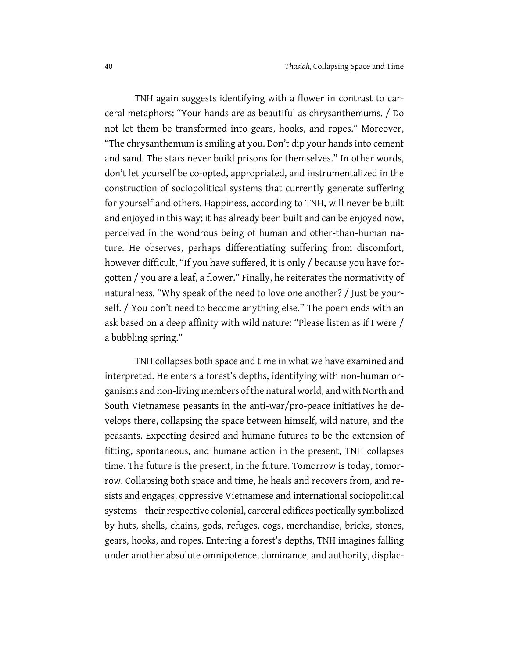TNH again suggests identifying with a flower in contrast to carceral metaphors: "Your hands are as beautiful as chrysanthemums. / Do not let them be transformed into gears, hooks, and ropes." Moreover, "The chrysanthemum is smiling at you. Don't dip your hands into cement and sand. The stars never build prisons for themselves." In other words, don't let yourself be co-opted, appropriated, and instrumentalized in the construction of sociopolitical systems that currently generate suffering for yourself and others. Happiness, according to TNH, will never be built and enjoyed in this way; it has already been built and can be enjoyed now, perceived in the wondrous being of human and other-than-human nature. He observes, perhaps differentiating suffering from discomfort, however difficult, "If you have suffered, it is only / because you have forgotten / you are a leaf, a flower." Finally, he reiterates the normativity of naturalness. "Why speak of the need to love one another? / Just be yourself. / You don't need to become anything else." The poem ends with an ask based on a deep affinity with wild nature: "Please listen as if I were / a bubbling spring."

TNH collapses both space and time in what we have examined and interpreted. He enters a forest's depths, identifying with non-human organisms and non-living members of the natural world, and with North and South Vietnamese peasants in the anti-war/pro-peace initiatives he develops there, collapsing the space between himself, wild nature, and the peasants. Expecting desired and humane futures to be the extension of fitting, spontaneous, and humane action in the present, TNH collapses time. The future is the present, in the future. Tomorrow is today, tomorrow. Collapsing both space and time, he heals and recovers from, and resists and engages, oppressive Vietnamese and international sociopolitical systems—their respective colonial, carceral edifices poetically symbolized by huts, shells, chains, gods, refuges, cogs, merchandise, bricks, stones, gears, hooks, and ropes. Entering a forest's depths, TNH imagines falling under another absolute omnipotence, dominance, and authority, displac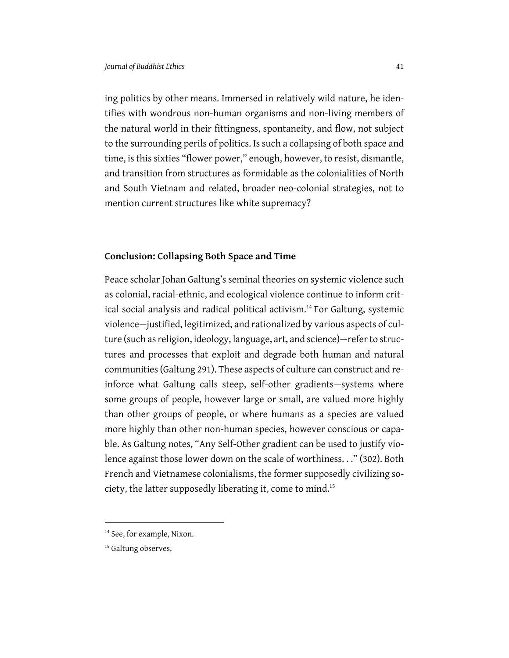ing politics by other means. Immersed in relatively wild nature, he identifies with wondrous non-human organisms and non-living members of the natural world in their fittingness, spontaneity, and flow, not subject to the surrounding perils of politics. Is such a collapsing of both space and time, is this sixties "flower power," enough, however, to resist, dismantle, and transition from structures as formidable as the colonialities of North and South Vietnam and related, broader neo-colonial strategies, not to mention current structures like white supremacy?

#### **Conclusion: Collapsing Both Space and Time**

Peace scholar Johan Galtung's seminal theories on systemic violence such as colonial, racial-ethnic, and ecological violence continue to inform critical social analysis and radical political activism.<sup>14</sup> For Galtung, systemic violence—justified, legitimized, and rationalized by various aspects of culture (such as religion, ideology, language, art, and science)—refer to structures and processes that exploit and degrade both human and natural communities (Galtung 291). These aspects of culture can construct and reinforce what Galtung calls steep, self-other gradients—systems where some groups of people, however large or small, are valued more highly than other groups of people, or where humans as a species are valued more highly than other non-human species, however conscious or capable. As Galtung notes, "Any Self-Other gradient can be used to justify violence against those lower down on the scale of worthiness. . ." (302). Both French and Vietnamese colonialisms, the former supposedly civilizing society, the latter supposedly liberating it, come to mind.<sup>15</sup>

<sup>&</sup>lt;sup>14</sup> See, for example, Nixon.

<sup>&</sup>lt;sup>15</sup> Galtung observes,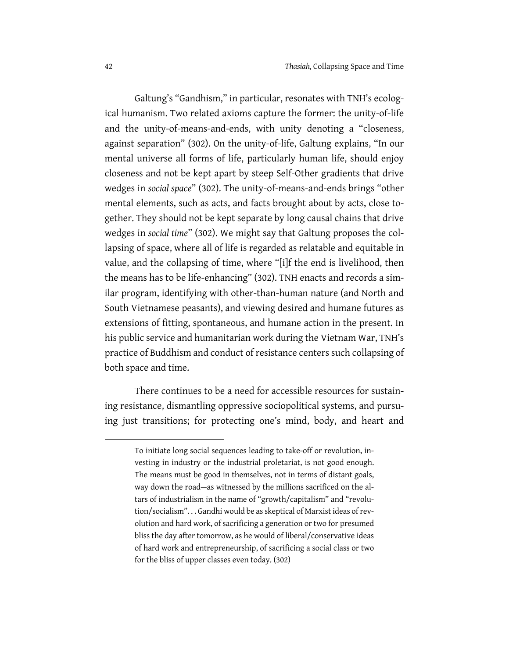Galtung's "Gandhism," in particular, resonates with TNH's ecological humanism. Two related axioms capture the former: the unity-of-life and the unity-of-means-and-ends, with unity denoting a "closeness, against separation" (302). On the unity-of-life, Galtung explains, "In our mental universe all forms of life, particularly human life, should enjoy closeness and not be kept apart by steep Self-Other gradients that drive wedges in *social space*" (302). The unity-of-means-and-ends brings "other mental elements, such as acts, and facts brought about by acts, close together. They should not be kept separate by long causal chains that drive wedges in *social time*" (302). We might say that Galtung proposes the collapsing of space, where all of life is regarded as relatable and equitable in value, and the collapsing of time, where "[i]f the end is livelihood, then the means has to be life-enhancing" (302). TNH enacts and records a similar program, identifying with other-than-human nature (and North and South Vietnamese peasants), and viewing desired and humane futures as extensions of fitting, spontaneous, and humane action in the present. In his public service and humanitarian work during the Vietnam War, TNH's practice of Buddhism and conduct of resistance centers such collapsing of both space and time.

There continues to be a need for accessible resources for sustaining resistance, dismantling oppressive sociopolitical systems, and pursuing just transitions; for protecting one's mind, body, and heart and

To initiate long social sequences leading to take-off or revolution, investing in industry or the industrial proletariat, is not good enough. The means must be good in themselves, not in terms of distant goals, way down the road—as witnessed by the millions sacrificed on the altars of industrialism in the name of "growth/capitalism" and "revolution/socialism". . . Gandhi would be as skeptical of Marxist ideas of revolution and hard work, of sacrificing a generation or two for presumed bliss the day after tomorrow, as he would of liberal/conservative ideas of hard work and entrepreneurship, of sacrificing a social class or two for the bliss of upper classes even today. (302)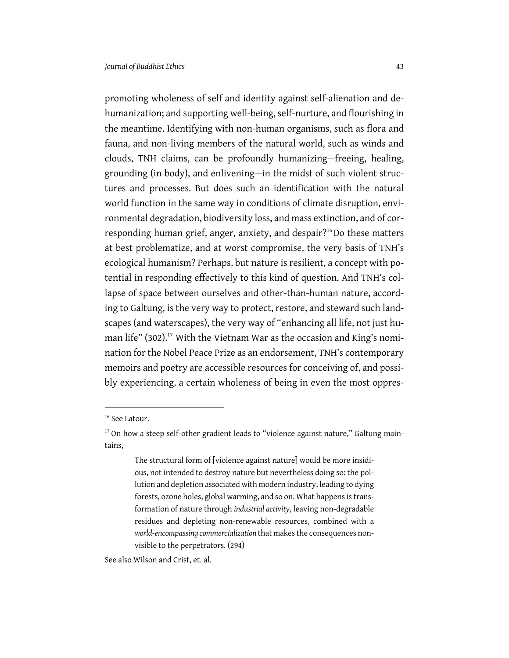promoting wholeness of self and identity against self-alienation and dehumanization; and supporting well-being, self-nurture, and flourishing in the meantime. Identifying with non-human organisms, such as flora and fauna, and non-living members of the natural world, such as winds and clouds, TNH claims, can be profoundly humanizing—freeing, healing, grounding (in body), and enlivening—in the midst of such violent structures and processes. But does such an identification with the natural world function in the same way in conditions of climate disruption, environmental degradation, biodiversity loss, and mass extinction, and of corresponding human grief, anger, anxiety, and despair?<sup>16</sup>Do these matters at best problematize, and at worst compromise, the very basis of TNH's ecological humanism? Perhaps, but nature is resilient, a concept with potential in responding effectively to this kind of question. And TNH's collapse of space between ourselves and other-than-human nature, according to Galtung, is the very way to protect, restore, and steward such landscapes (and waterscapes), the very way of "enhancing all life, not just human life" (302).<sup>17</sup> With the Vietnam War as the occasion and King's nomination for the Nobel Peace Prize as an endorsement, TNH's contemporary memoirs and poetry are accessible resources for conceiving of, and possibly experiencing, a certain wholeness of being in even the most oppres-

See also Wilson and Crist, et. al.

<sup>&</sup>lt;sup>16</sup> See Latour.

<sup>&</sup>lt;sup>17</sup> On how a steep self-other gradient leads to "violence against nature," Galtung maintains,

The structural form of [violence against nature] would be more insidious, not intended to destroy nature but nevertheless doing so: the pollution and depletion associated with modern industry, leading to dying forests, ozone holes, global warming, and so on. What happens is transformation of nature through *industrial activity*, leaving non-degradable residues and depleting non-renewable resources, combined with a *world-encompassing commercialization* that makes the consequences nonvisible to the perpetrators. (294)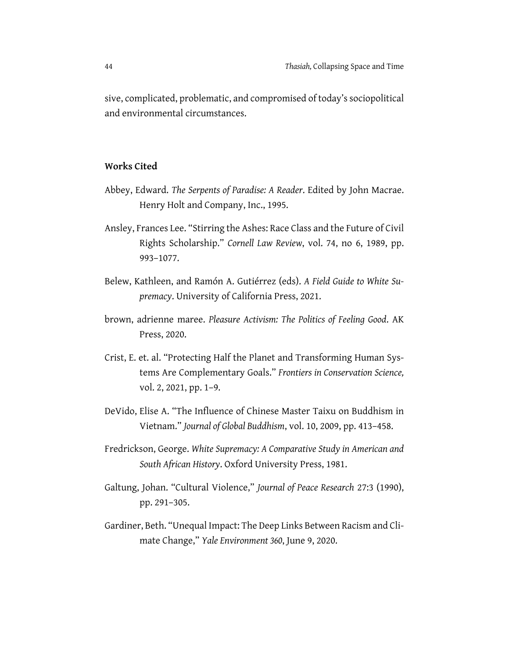sive, complicated, problematic, and compromised of today's sociopolitical and environmental circumstances.

### **Works Cited**

- Abbey, Edward. *The Serpents of Paradise: A Reader*. Edited by John Macrae. Henry Holt and Company, Inc., 1995.
- Ansley, Frances Lee. "Stirring the Ashes: Race Class and the Future of Civil Rights Scholarship." *Cornell Law Review*, vol. 74, no 6, 1989, pp. 993–1077.
- Belew, Kathleen, and Ramón A. Gutiérrez (eds). *A Field Guide to White Supremacy*. University of California Press, 2021.
- brown, adrienne maree. *Pleasure Activism: The Politics of Feeling Good*. AK Press, 2020.
- Crist, E. et. al. "Protecting Half the Planet and Transforming Human Systems Are Complementary Goals." *Frontiers in Conservation Science,* vol. 2, 2021, pp. 1–9.
- DeVido, Elise A. "The Influence of Chinese Master Taixu on Buddhism in Vietnam." *Journal of Global Buddhism*, vol. 10, 2009, pp. 413–458.
- Fredrickson, George. *White Supremacy: A Comparative Study in American and South African History*. Oxford University Press, 1981.
- Galtung, Johan. "Cultural Violence," *Journal of Peace Research* 27:3 (1990), pp. 291–305.
- Gardiner, Beth. "Unequal Impact: The Deep Links Between Racism and Climate Change," *Yale Environment 360*, June 9, 2020.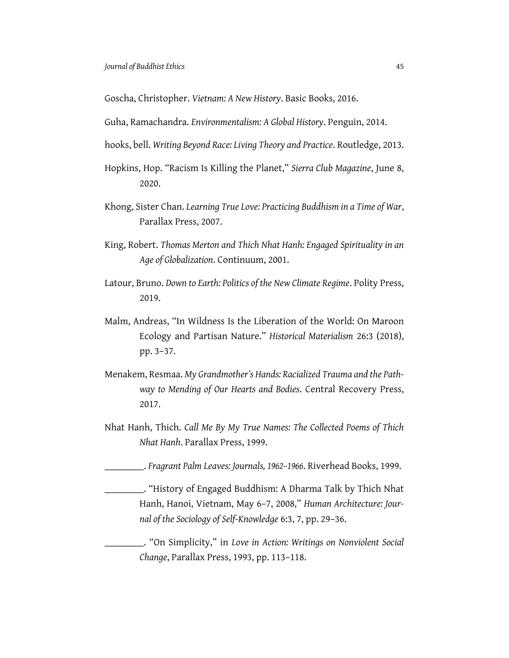Goscha, Christopher. *Vietnam: A New History*. Basic Books, 2016.

Guha, Ramachandra. *Environmentalism: A Global History*. Penguin, 2014.

hooks, bell. *Writing Beyond Race: Living Theory and Practice*. Routledge, 2013.

- Hopkins, Hop. "Racism Is Killing the Planet," *Sierra Club Magazine*, June 8, 2020.
- Khong, Sister Chan. *Learning True Love: Practicing Buddhism in a Time of War*, Parallax Press, 2007.
- King, Robert. *Thomas Merton and Thich Nhat Hanh: Engaged Spirituality in an Age of Globalization*. Continuum, 2001.
- Latour, Bruno. *Down to Earth: Politics of the New Climate Regime*. Polity Press, 2019.
- Malm, Andreas, "In Wildness Is the Liberation of the World: On Maroon Ecology and Partisan Nature." *Historical Materialism* 26:3 (2018), pp. 3–37.
- Menakem, Resmaa. *My Grandmother's Hands: Racialized Trauma and the Pathway to Mending of Our Hearts and Bodies*. Central Recovery Press, 2017.
- Nhat Hanh, Thich. *Call Me By My True Names: The Collected Poems of Thich Nhat Hanh*. Parallax Press, 1999.

\_\_\_\_\_\_\_\_\_\_. *Fragrant Palm Leaves: Journals, 1962–1966*. Riverhead Books, 1999.

\_\_\_\_\_\_\_\_\_\_. "History of Engaged Buddhism: A Dharma Talk by Thich Nhat Hanh, Hanoi, Vietnam, May 6–7, 2008," *Human Architecture: Journal of the Sociology of Self-Knowledge* 6:3, 7, pp. 29–36.

\_\_\_\_\_\_\_\_\_\_. "On Simplicity," in *Love in Action: Writings on Nonviolent Social Change*, Parallax Press, 1993, pp. 113–118.